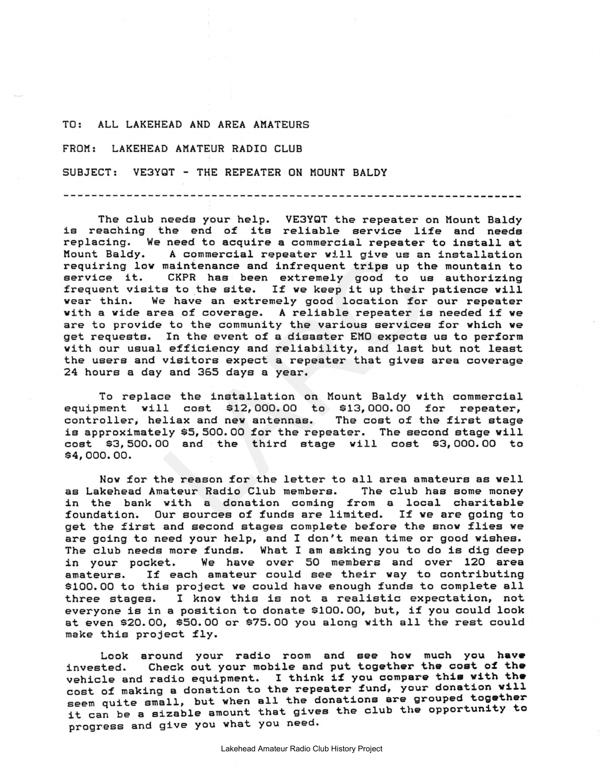## TO: ALL LAKEHEAD AND AREA AMATEURS

FROM: LAKEHEAD AMATEUR RADIO CLUB

SUBJECT: VE3YQT - THE REPEATER ON MOUNT BALDY

A commercial repeater will give us an<br>maintenance and infrequent trips up the<br>CKFR has been extremely good to us<br>s to the site. If we keep it up their<br>is not a set to the site in the second location for<br>ea of coverage. A r The club needs your help. VE3YQT the repeater on Mount Baldy is reaching the end of its reliable service life and needs replacing. We need to acquire <sup>a</sup> commercial repeater to install at Mount Baldy. <sup>A</sup> commercial repeater will give us an installation requiring low maintenance and infrequent trips up the mountain to service it. CKPR has been extremely good to us authorizing frequent visits to the site. If we keep it up their patience will wear thin. We have an extremely good location for our repeater with <sup>a</sup> wide area of coverage. <sup>A</sup> reliable repeater is needed if we are to provide to the community the various services for which we get requests. In the event of <sup>a</sup> disaster EMO expects us to perform with our usual efficiency and reliability, and last but not least the users and visitors expect <sup>a</sup> repeater that gives area coverage 24 hours a day and 365 days a year.

To replace the installation on Mount Baldy with commercial equipment will cost \$12,000.00 to *\$13,000.00* for repeater, controller, heliax and new antennas. The cost of the first stage is approximately \$5,500.00 for the repeater. The second stage will cost *\$3,500.00* and the third stage will cost \$3,000.00 to *\$4,000.00.*

Now for the reason for the letter to all area amateurs as well as Lakehead Amateur Radio Club members. in the bank with a donation coming from a local charitable foundation. Our sources of funds are limited. If we are going to get the first and second stages complete before the snow flies we are going to need your help, and I don't mean time or good wishes. The club needs more funds. What <sup>I</sup> am asking you to do is dig deep in your pocket. We have over 50 members and over 120 area<br>amateurs. If each amateur could see their way to contributing If each amateur could see their way to contributing \$100.00 to this project we could have enough funds to complete all three stages. <sup>I</sup> know this is not <sup>a</sup> realistic expectation, not everyone is in <sup>a</sup> position to donate \$100.00, but, if you could look at even *\$20.00,* \$50.00 or \$75.00 you along with all the rest could make this project fly.

Look around your radio room and see how much you have invested. Check out your mobile and put together the cost of the vehicle and radio equipment. I think if you compare this with the cost of making a donation to the repeater fund, your donation will seem quite small, but when all the donations are grouped together it can be <sup>a</sup> sizable amount that gives the club the opportunity to progress and give you what you need.